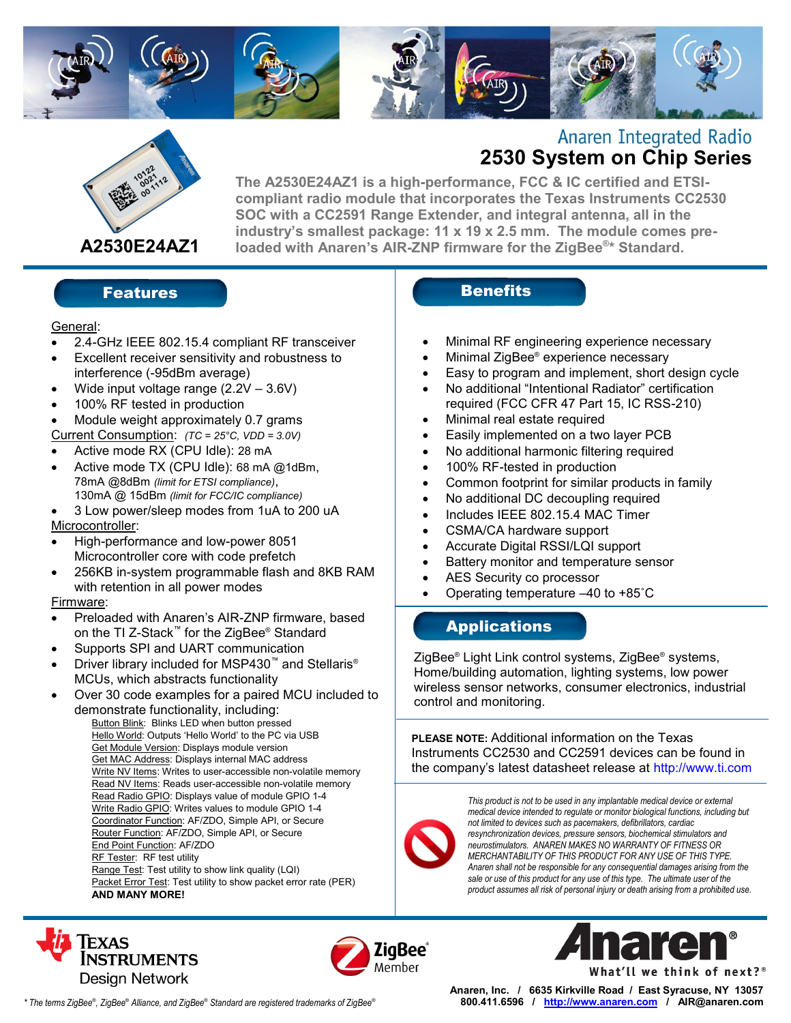



# **Anaren Integrated Radio 2530 System on Chip Series**

**The A2530E24AZ1 is a high-performance, FCC & IC certified and ETSIcompliant radio module that incorporates the Texas Instruments CC2530 SOC with a CC2591 Range Extender, and integral antenna, all in the industry's smallest package: 11 x 19 x 2.5 mm. The module comes preloaded with Anaren's AIR-ZNP firmware for the ZigBee® \* Standard.**

### Features and the sense of the Benefits

#### General:

- 2.4-GHz IEEE 802.15.4 compliant RF transceiver
- Excellent receiver sensitivity and robustness to interference (-95dBm average)
- Wide input voltage range (2.2V 3.6V)
- 100% RF tested in production
- Module weight approximately 0.7 grams

Current Consumption: *(TC = 25°C, VDD = 3.0V)*

- Active mode RX (CPU Idle): 28 mA
- Active mode TX (CPU Idle): 68 mA @1dBm, 78mA @8dBm *(limit for ETSI compliance)*, 130mA @ 15dBm *(limit for FCC/IC compliance)*

 3 Low power/sleep modes from 1uA to 200 uA Microcontroller:

- High-performance and low-power 8051 Microcontroller core with code prefetch
- 256KB in-system programmable flash and 8KB RAM with retention in all power modes

#### Firmware:

- Preloaded with Anaren's AIR-ZNP firmware, based on the TI Z-Stack™ for the ZigBee® Standard
- Supports SPI and UART communication
- Driver library included for MSP430™ and Stellaris<sup>®</sup> MCUs, which abstracts functionality
- Over 30 code examples for a paired MCU included to demonstrate functionality, including:
	- Button Blink: Blinks LED when button pressed Hello World: Outputs 'Hello World' to the PC via USB Get Module Version: Displays module version Get MAC Address: Displays internal MAC address Write NV Items: Writes to user-accessible non-volatile memory Read NV Items: Reads user-accessible non-volatile memory Read Radio GPIO: Displays value of module GPIO 1-4 Write Radio GPIO: Writes values to module GPIO 1-4 Coordinator Function: AF/ZDO, Simple API, or Secure Router Function: AF/ZDO, Simple API, or Secure End Point Function: AF/ZDO RF Tester: RF test utility Range Test: Test utility to show link quality (LQI) Packet Error Test: Test utility to show packet error rate (PER) **AND MANY MORE!**

- Minimal RF engineering experience necessary
- Minimal ZigBee® experience necessary
- Easy to program and implement, short design cycle
- No additional "Intentional Radiator" certification required (FCC CFR 47 Part 15, IC RSS-210)
- Minimal real estate required
- Easily implemented on a two layer PCB
- No additional harmonic filtering required
- 100% RF-tested in production
- Common footprint for similar products in family
- No additional DC decoupling required
- Includes IEEE 802.15.4 MAC Timer
- CSMA/CA hardware support
- Accurate Digital RSSI/LQI support
- Battery monitor and temperature sensor
- AES Security co processor
	- Operating temperature –40 to +85˚C

### **Applications**

ZigBee® Light Link control systems, ZigBee® systems, Home/building automation, lighting systems, low power wireless sensor networks, consumer electronics, industrial control and monitoring.

**PLEASE NOTE:** Additional information on the Texas Instruments CC2530 and CC2591 devices can be found in the company's latest datasheet release at http://www.ti.com



*This product is not to be used in any implantable medical device or external medical device intended to regulate or monitor biological functions, including but not limited to devices such as pacemakers, defibrillators, cardiac resynchronization devices, pressure sensors, biochemical stimulators and neurostimulators. ANAREN MAKES NO WARRANTY OF FITNESS OR MERCHANTABILITY OF THIS PRODUCT FOR ANY USE OF THIS TYPE. Anaren shall not be responsible for any consequential damages arising from the sale or use of this product for any use of this type. The ultimate user of the product assumes all risk of personal injury or death arising from a prohibited use.*







*\* The terms ZigBee*® *, ZigBee*® *Alliance, and ZigBee*® *Standard are registered trademarks of ZigBee*®

**Anaren, Inc. / 6635 Kirkville Road / East Syracuse, NY 13057 800.411.6596 / http:/[/www.anaren.com](http://www.anaren.com/) / AIR@anaren.com**